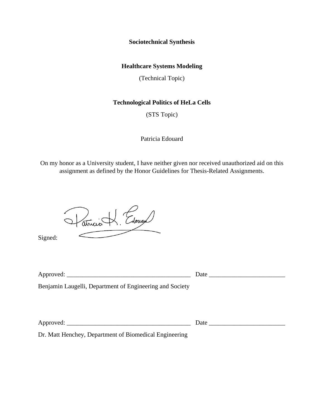**Sociotechnical Synthesis**

## **Healthcare Systems Modeling**

(Technical Topic)

## **Technological Politics of HeLa Cells**

(STS Topic)

Patricia Edouard

On my honor as a University student, I have neither given nor received unauthorized aid on this assignment as defined by the Honor Guidelines for Thesis-Related Assignments.

Vatricie H. Edouard

Signed:

| Approved:                                                | Date |
|----------------------------------------------------------|------|
| Benjamin Laugelli, Department of Engineering and Society |      |

| $\Delta$<br>--<br>$\sim$ | --<br>. |  |
|--------------------------|---------|--|
| $\ddot{\phantom{1}}$     |         |  |

Dr. Matt Henchey, Department of Biomedical Engineering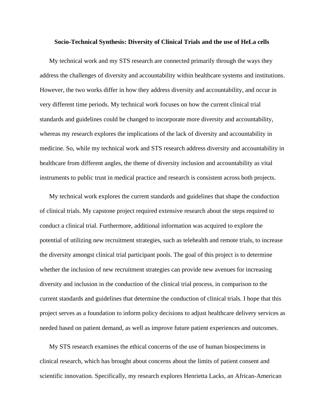## **Socio-Technical Synthesis: Diversity of Clinical Trials and the use of HeLa cells**

My technical work and my STS research are connected primarily through the ways they address the challenges of diversity and accountability within healthcare systems and institutions. However, the two works differ in how they address diversity and accountability, and occur in very different time periods. My technical work focuses on how the current clinical trial standards and guidelines could be changed to incorporate more diversity and accountability, whereas my research explores the implications of the lack of diversity and accountability in medicine. So, while my technical work and STS research address diversity and accountability in healthcare from different angles, the theme of diversity inclusion and accountability as vital instruments to public trust in medical practice and research is consistent across both projects.

My technical work explores the current standards and guidelines that shape the conduction of clinical trials. My capstone project required extensive research about the steps required to conduct a clinical trial. Furthermore, additional information was acquired to explore the potential of utilizing new recruitment strategies, such as telehealth and remote trials, to increase the diversity amongst clinical trial participant pools. The goal of this project is to determine whether the inclusion of new recruitment strategies can provide new avenues for increasing diversity and inclusion in the conduction of the clinical trial process, in comparison to the current standards and guidelines that determine the conduction of clinical trials. I hope that this project serves as a foundation to inform policy decisions to adjust healthcare delivery services as needed based on patient demand, as well as improve future patient experiences and outcomes.

My STS research examines the ethical concerns of the use of human biospecimens in clinical research, which has brought about concerns about the limits of patient consent and scientific innovation. Specifically, my research explores Henrietta Lacks, an African-American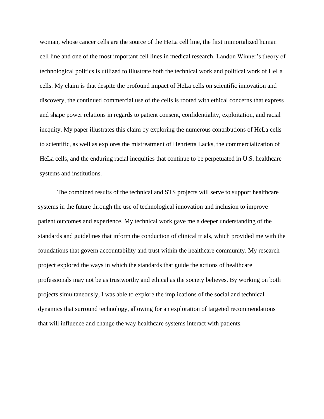woman, whose cancer cells are the source of the HeLa cell line, the first immortalized human cell line and one of the most important cell lines in medical research. Landon Winner's theory of technological politics is utilized to illustrate both the technical work and political work of HeLa cells. My claim is that despite the profound impact of HeLa cells on scientific innovation and discovery, the continued commercial use of the cells is rooted with ethical concerns that express and shape power relations in regards to patient consent, confidentiality, exploitation, and racial inequity. My paper illustrates this claim by exploring the numerous contributions of HeLa cells to scientific, as well as explores the mistreatment of Henrietta Lacks, the commercialization of HeLa cells, and the enduring racial inequities that continue to be perpetuated in U.S. healthcare systems and institutions.

The combined results of the technical and STS projects will serve to support healthcare systems in the future through the use of technological innovation and inclusion to improve patient outcomes and experience. My technical work gave me a deeper understanding of the standards and guidelines that inform the conduction of clinical trials, which provided me with the foundations that govern accountability and trust within the healthcare community. My research project explored the ways in which the standards that guide the actions of healthcare professionals may not be as trustworthy and ethical as the society believes. By working on both projects simultaneously, I was able to explore the implications of the social and technical dynamics that surround technology, allowing for an exploration of targeted recommendations that will influence and change the way healthcare systems interact with patients.